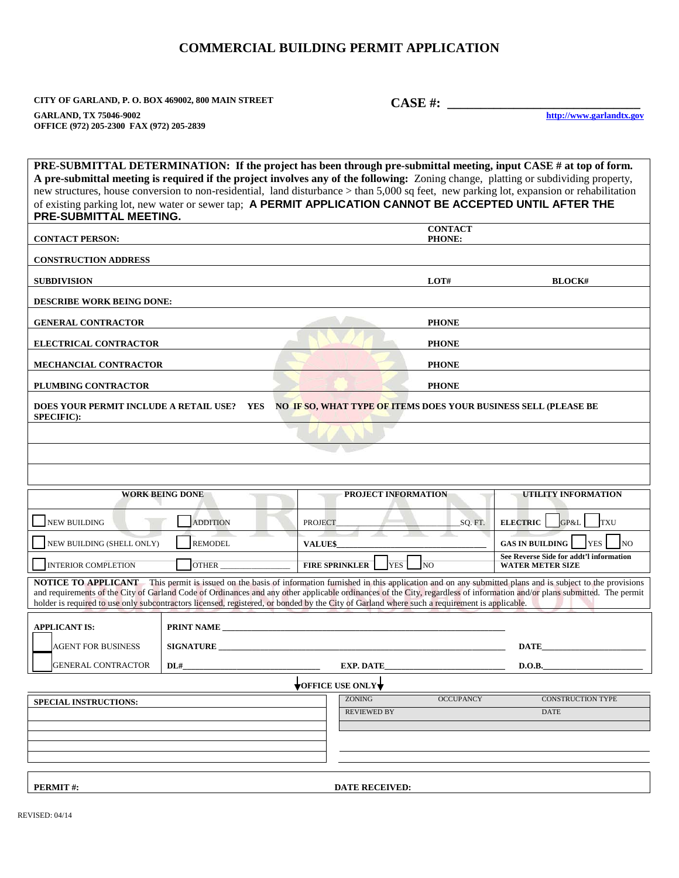## **COMMERCIAL BUILDING PERMIT APPLICATION**

**CITY OF GARLAND, P. O. BOX 469002, 800 MAIN STREET CASE #: \_\_\_\_\_\_\_\_\_\_\_\_\_\_\_\_\_\_\_\_\_\_\_\_\_\_\_\_\_**

**GARLAND, TX 75046-9002 OFFICE (972) 205-2300 FAX (972) 205-2839**

**PRE-SUBMITTAL DETERMINATION: If the project has been through pre-submittal meeting, input CASE # at top of form. A pre-submittal meeting is required if the project involves any of the following:** Zoning change, platting or subdividing property, new structures, house conversion to non-residential, land disturbance > than 5,000 sq feet, new parking lot, expansion or rehabilitation of existing parking lot, new water or sewer tap; **A PERMIT APPLICATION CANNOT BE ACCEPTED UNTIL AFTER THE PRE-SUBMITTAL MEETING. CONTACT PERSON: CONTACT PHONE: CONSTRUCTION ADDRESS SUBDIVISION LOT# BLOCK# DESCRIBE WORK BEING DONE: GENERAL CONTRACTOR PHONE ELECTRICAL CONTRACTOR** PHONE **MECHANCIAL CONTRACTOR PHONE PLUMBING CONTRACTOR PHONE DOES YOUR PERMIT INCLUDE A RETAIL USE? YES NO IF SO, WHAT TYPE OF ITEMS DOES YOUR BUSINESS SELL (PLEASE BE SPECIFIC): WORK BEING DONE PROJECT INFORMATION UTILITY INFORMATION** \_\_\_ NEW BUILDING \_\_\_ ADDITION PROJECT\_\_\_\_\_\_\_\_\_\_\_\_\_\_\_\_\_\_\_\_\_\_\_\_\_\_\_\_\_\_\_\_SQ. FT. **ELECTRIC** \_\_\_GP&L \_\_\_ TXU \_\_\_ NEW BUILDING (SHELL ONLY) \_\_\_ REMODEL **VALUE\$\_\_\_\_\_\_\_\_\_\_\_\_\_\_\_\_\_\_\_\_\_\_\_\_\_\_\_\_\_\_\_\_\_\_\_\_ GAS IN BUILDING** \_\_\_ YES \_\_\_ NO INTERIOR COMPLETION  $\Box$  OTHER **FIRE SPRINKLER**  $\Box$  YES  $\Box$  NO **See Reverse Side for addt'l information WATER METER SIZE NOTICE TO APPLICANT** This permit is issued on the basis of information furnished in this application and on any submitted plans and is subject to the provisions and requirements of the City of Garland Code of Ordinances and any other applicable ordinances of the City, regardless of information and/or plans submitted. The permit holder is required to use only subcontractors licensed, registered, or bonded by the City of Garland where such a requirement is applicable. PRINT NAME **SIGNATURE DATE APPLICANT IS:** AGENT FOR BUSINESS GENERAL CONTRACTOR **DL# D.O.B. OFFICE USE ONLY SPECIAL INSTRUCTIONS:** ZONING OCCUPANCY CONSTRUCTION TYPE **REVIEWED BY** 

**PERMIT #: DATE RECEIVED: DATE RECEIVED:**